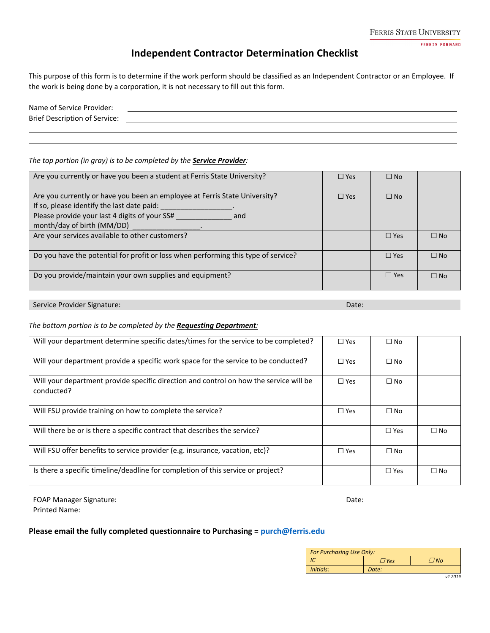FERRIS STATE UNIVERSITY

**FERRIS FORWARD** 

## **Independent Contractor Determination Checklist**

This purpose of this form is to determine if the work perform should be classified as an Independent Contractor or an Employee. If the work is being done by a corporation, it is not necessary to fill out this form.

| Name of Service Provider:            |  |
|--------------------------------------|--|
| <b>Brief Description of Service:</b> |  |
|                                      |  |

### *The top portion (in gray) is to be completed by the Service Provider:*

| Are you currently or have you been a student at Ferris State University?                                                                                                                                       | $\Box$ Yes | $\square$ No |           |
|----------------------------------------------------------------------------------------------------------------------------------------------------------------------------------------------------------------|------------|--------------|-----------|
| Are you currently or have you been an employee at Ferris State University?<br>If so, please identify the last date paid:<br>Please provide your last 4 digits of your SS#<br>and<br>month/day of birth (MM/DD) | $\Box$ Yes | $\Box$ No    |           |
| Are your services available to other customers?                                                                                                                                                                |            | $\Box$ Yes   | $\Box$ No |
| Do you have the potential for profit or loss when performing this type of service?                                                                                                                             |            | $\Box$ Yes   | $\Box$ No |
| Do you provide/maintain your own supplies and equipment?                                                                                                                                                       |            | $\Box$ Yes   | $\Box$ No |

Service Provider Signature: Date: Date: Date: Date: Date: Date: Date: Date: Date: Date: Date: Date: Date: Date: Date: Date: Date: Date: Date: Date: Date: Date: Date: Date: Date: Date: Date: Date: Date: Date: Date: Date: Da

### *The bottom portion is to be completed by the Requesting Department:*

| Will your department determine specific dates/times for the service to be completed?                 | $\Box$ Yes | $\Box$ No     |              |
|------------------------------------------------------------------------------------------------------|------------|---------------|--------------|
| Will your department provide a specific work space for the service to be conducted?                  | $\Box$ Yes | $\Box$ No     |              |
| Will your department provide specific direction and control on how the service will be<br>conducted? | $\Box$ Yes | $\Box$ No     |              |
| Will FSU provide training on how to complete the service?                                            | $\Box$ Yes | $\Box$ No     |              |
| Will there be or is there a specific contract that describes the service?                            |            | $\Box$ Yes    | $\square$ No |
| Will FSU offer benefits to service provider (e.g. insurance, vacation, etc)?                         | $\Box$ Yes | $\Box$ No     |              |
| Is there a specific timeline/deadline for completion of this service or project?                     |            | $\square$ Yes | $\Box$ No    |

| <b>FOAP Manager Signature:</b> | Date. |  |
|--------------------------------|-------|--|
| <b>Printed Name:</b>           |       |  |

### **Please email the fully completed questionnaire to Purchasing = [purch@ferris.edu](mailto:purch@ferris.edu)**

| For Purchasing Use Only: |       |                |  |
|--------------------------|-------|----------------|--|
|                          | 7 Yes | N <sub>0</sub> |  |
| Initials:                | Date: |                |  |

*v1 2019*